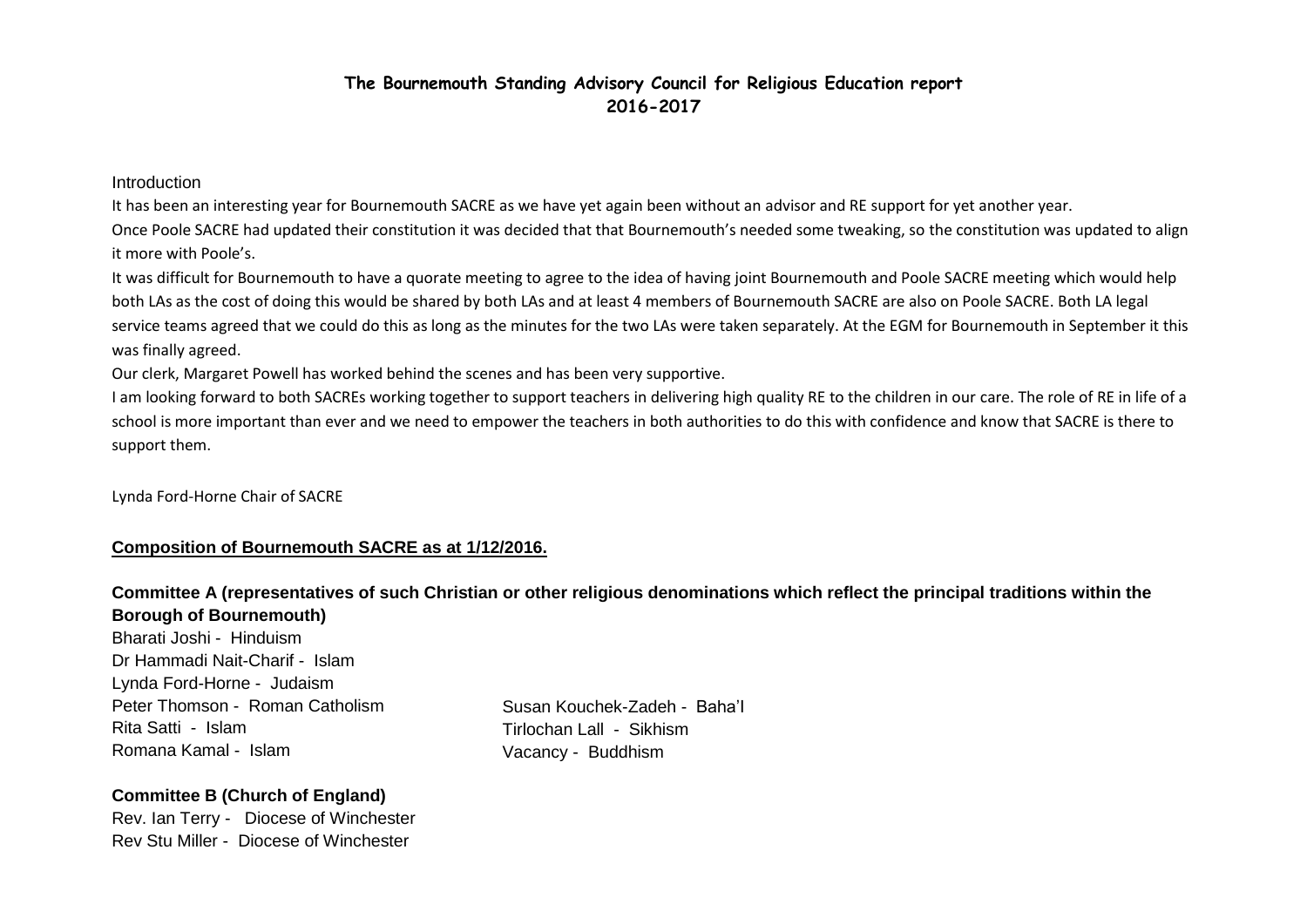## **The Bournemouth Standing Advisory Council for Religious Education report 2016-2017**

#### Introduction

It has been an interesting year for Bournemouth SACRE as we have yet again been without an advisor and RE support for yet another year. Once Poole SACRE had updated their constitution it was decided that that Bournemouth's needed some tweaking, so the constitution was updated to align it more with Poole's.

It was difficult for Bournemouth to have a quorate meeting to agree to the idea of having joint Bournemouth and Poole SACRE meeting which would help both LAs as the cost of doing this would be shared by both LAs and at least 4 members of Bournemouth SACRE are also on Poole SACRE. Both LA legal service teams agreed that we could do this as long as the minutes for the two LAs were taken separately. At the EGM for Bournemouth in September it this was finally agreed.

Our clerk, Margaret Powell has worked behind the scenes and has been very supportive.

I am looking forward to both SACREs working together to support teachers in delivering high quality RE to the children in our care. The role of RE in life of a school is more important than ever and we need to empower the teachers in both authorities to do this with confidence and know that SACRE is there to support them.

Lynda Ford-Horne Chair of SACRE

#### **Composition of Bournemouth SACRE as at 1/12/2016.**

## **Committee A (representatives of such Christian or other religious denominations which reflect the principal traditions within the Borough of Bournemouth)**

Bharati Joshi - Hinduism Dr Hammadi Nait-Charif - Islam Lynda Ford-Horne - Judaism Peter Thomson - Roman Catholism Rita Satti - Islam Romana Kamal - Islam

Susan Kouchek-Zadeh - Baha'I Tirlochan Lall - Sikhism Vacancy - Buddhism

## **Committee B (Church of England)**

Rev. Ian Terry - Diocese of Winchester Rev Stu Miller - Diocese of Winchester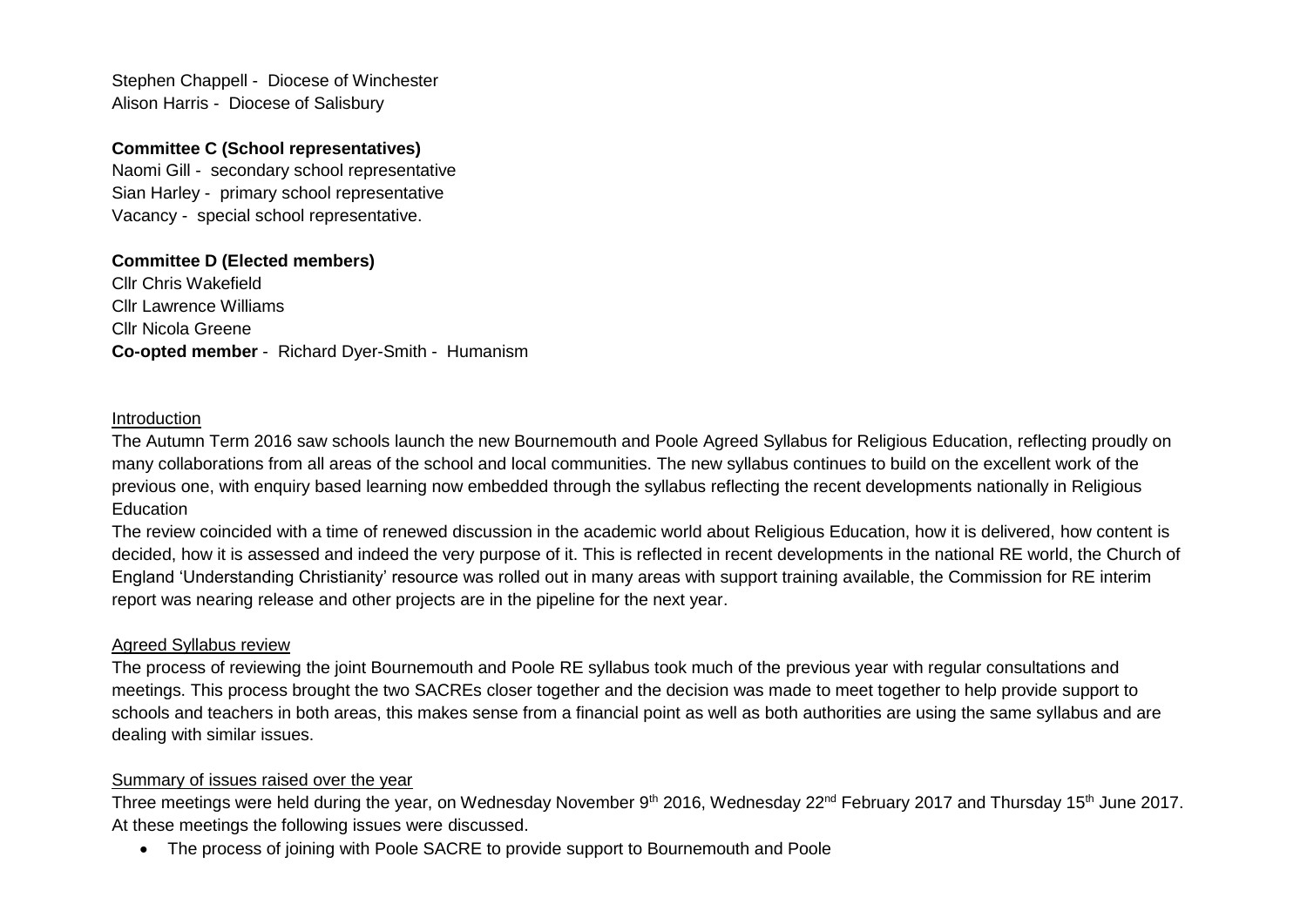Stephen Chappell - Diocese of Winchester Alison Harris - Diocese of Salisbury

### **Committee C (School representatives)**

Naomi Gill - secondary school representative Sian Harley - primary school representative Vacancy - special school representative.

## **Committee D (Elected members)**

Cllr Chris Wakefield Cllr Lawrence Williams Cllr Nicola Greene **Co-opted member** - Richard Dyer-Smith - Humanism

#### Introduction

The Autumn Term 2016 saw schools launch the new Bournemouth and Poole Agreed Syllabus for Religious Education, reflecting proudly on many collaborations from all areas of the school and local communities. The new syllabus continues to build on the excellent work of the previous one, with enquiry based learning now embedded through the syllabus reflecting the recent developments nationally in Religious **Education** 

The review coincided with a time of renewed discussion in the academic world about Religious Education, how it is delivered, how content is decided, how it is assessed and indeed the very purpose of it. This is reflected in recent developments in the national RE world, the Church of England 'Understanding Christianity' resource was rolled out in many areas with support training available, the Commission for RE interim report was nearing release and other projects are in the pipeline for the next year.

#### Agreed Syllabus review

The process of reviewing the joint Bournemouth and Poole RE syllabus took much of the previous year with regular consultations and meetings. This process brought the two SACREs closer together and the decision was made to meet together to help provide support to schools and teachers in both areas, this makes sense from a financial point as well as both authorities are using the same syllabus and are dealing with similar issues.

## Summary of issues raised over the year

Three meetings were held during the year, on Wednesday November 9<sup>th</sup> 2016, Wednesday 22<sup>nd</sup> February 2017 and Thursday 15<sup>th</sup> June 2017. At these meetings the following issues were discussed.

• The process of joining with Poole SACRE to provide support to Bournemouth and Poole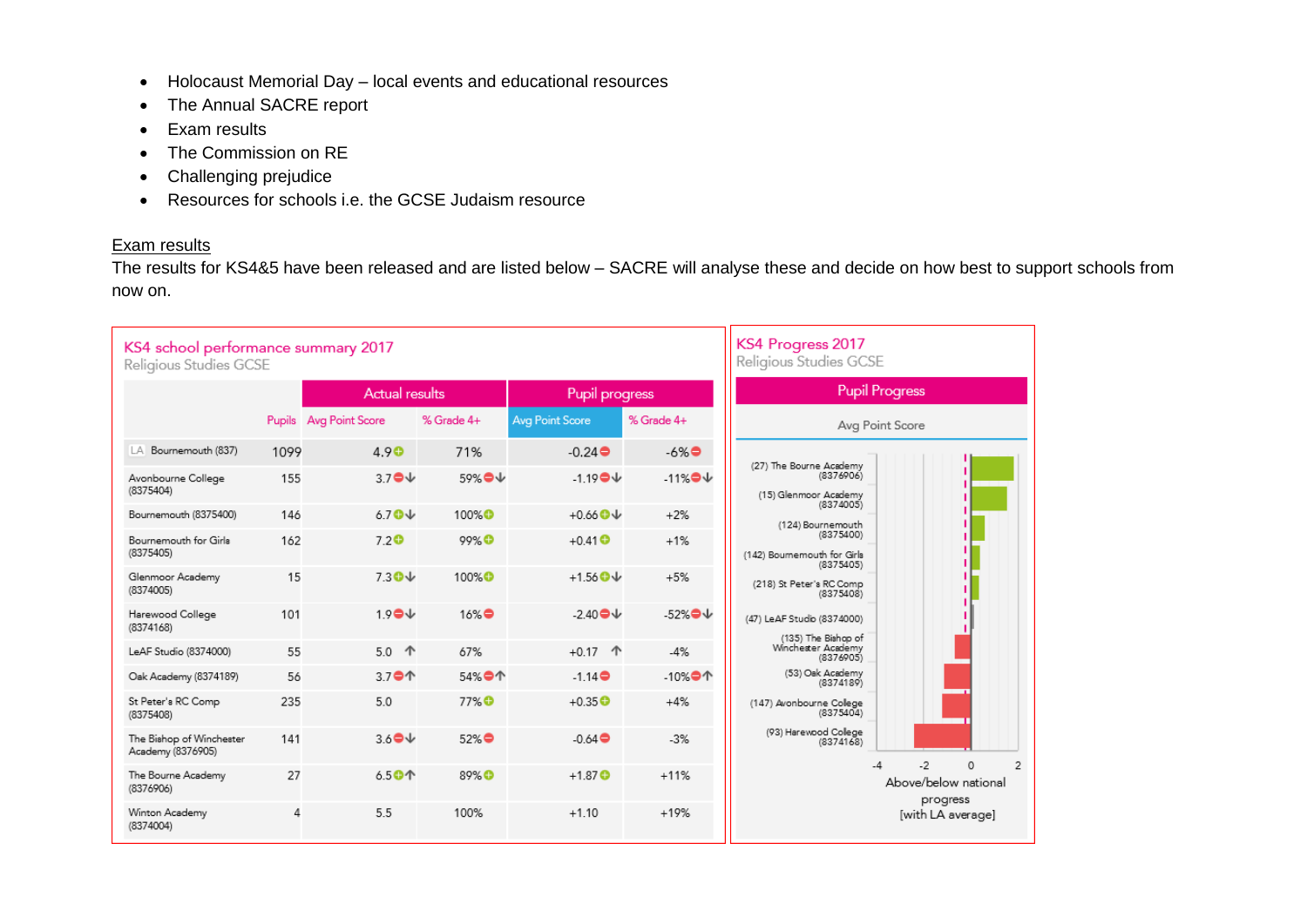- Holocaust Memorial Day local events and educational resources
- The Annual SACRE report
- Exam results
- The Commission on RE
- Challenging prejudice
- Resources for schools i.e. the GCSE Judaism resource

## Exam results

The results for KS4&5 have been released and are listed below – SACRE will analyse these and decide on how best to support schools from now on.

| KS4 school performance summary 2017<br>Religious Studies GCSE |        |                                                   |                   |                             |                       | KS4 Progress 2017<br>Religious Studies GCSE                   |                                                  |   |   |
|---------------------------------------------------------------|--------|---------------------------------------------------|-------------------|-----------------------------|-----------------------|---------------------------------------------------------------|--------------------------------------------------|---|---|
|                                                               |        | <b>Actual results</b>                             |                   | Pupil progress              |                       |                                                               | <b>Pupil Progress</b>                            |   |   |
|                                                               | Pupils | Avg Point Score                                   | % Grade 4+        | <b>Avg Point Score</b>      | % Grade 4+            |                                                               | Avg Point Score                                  |   |   |
| Bournemouth (837)<br>LA.                                      | 1099   | 4.9 <sup>°</sup>                                  | 71%               | $-0.24$ $\bullet$           | $-6\%$                |                                                               |                                                  |   |   |
| Avonbourne College<br>(8375404)                               | 155    | $3.7$ <sup><math>\odot</math></sup> $\vee$        | 59%●↓             | $-1.19$ <sup>o</sup> $\vee$ | $-11\%$               | (27) The Bourne Academy<br>(8376906)<br>(15) Glenmoor Academy |                                                  |   |   |
| Bournemouth (8375400)                                         | 146    | 6.70V                                             | 100% <sup>O</sup> | $+0.66$ <sup>O</sup> $\vee$ | $+2%$                 | (8374005)<br>(124) Bournemouth                                |                                                  |   |   |
| Bournemouth for Girla<br>(8375405)                            | 162    | 7.2 <sup>°</sup>                                  | 99% <b>O</b>      | $+0.41$ $\bullet$           | $+1%$                 | (8375400)<br>(142) Bournemouth for Girls                      |                                                  |   |   |
| Glenmoor Academy<br>(8374005)                                 | 15     | $7.30\text{V}$                                    | 100%O             | $+1.56$ <sup>O</sup> $\vee$ | $+5%$                 | (8375405)<br>(218) St Peter's RC Comp<br>(8375408)            |                                                  |   |   |
| Harewood College<br>(8374168)                                 | 101    | $1.9$ $\bullet\downarrow$                         | $16\%$            | $-2.40$                     | $-52\%$               | (47) LeAF Studio (8374000)<br>(135) The Bishop of             |                                                  |   |   |
| LeAF Studio (8374000)                                         | 55     | 5.0<br>个                                          | 67%               | $+0.17$ 个                   | $-4%$                 | Winchester Academy<br>(8376905)                               |                                                  |   |   |
| Oak Academy (8374189)                                         | 56     | 3.7●个                                             | 54%●个             | $-1.14$ $\oplus$            | -10% $\blacksquare$ 1 | (53) Oak Academy<br>(8374189)                                 |                                                  |   |   |
| St Peter's RC Comp<br>(8375408)                               | 235    | 5.0                                               | 77% <sup>O</sup>  | $+0.35$ <sup>O</sup>        | $+4%$                 | (147) Avonbourne College<br>(8375404)                         |                                                  |   |   |
| The Bishop of Winchester<br>Academy (8376905)                 | 141    | $3.6$ <sup><math>\oplus</math></sup> $\downarrow$ | 52%●              | $-0.64$                     | $-3%$                 | (93) Harewood College<br>(8374168)                            |                                                  |   |   |
| The Bourne Academy<br>(8376906)                               | 27     | 6.50个                                             | 89% <sup>O</sup>  | $+1.87$ <b>O</b>            | $+11%$                |                                                               | $-2$<br>$-4$<br>Above/below national<br>progress | 0 | 2 |
| Winton Academy<br>(8374004)                                   | 4      | 5.5                                               | 100%              | $+1.10$                     | $+19%$                |                                                               | [with LA average]                                |   |   |